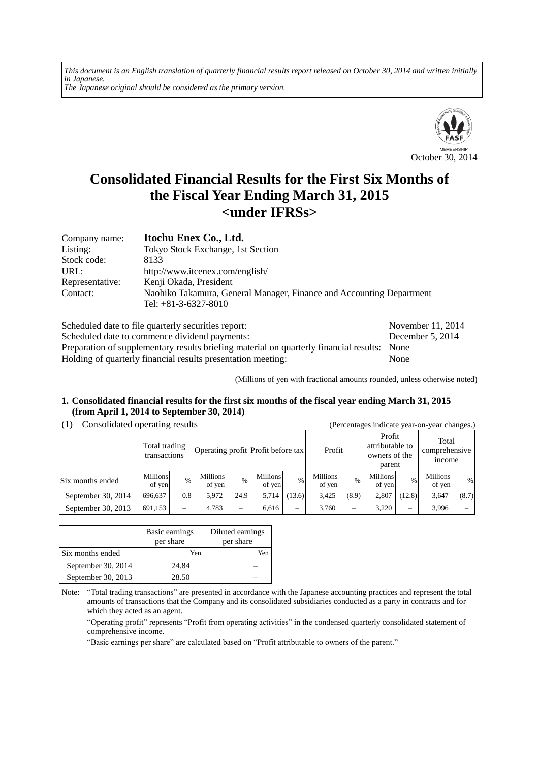*This document is an English translation of quarterly financial results report released on October 30, 2014 and written initially in Japanese. The Japanese original should be considered as the primary version.*



# **Consolidated Financial Results for the First Six Months of the Fiscal Year Ending March 31, 2015 <under IFRSs>**

| Company name:   | Itochu Enex Co., Ltd.                                                |
|-----------------|----------------------------------------------------------------------|
| Listing:        | Tokyo Stock Exchange, 1st Section                                    |
| Stock code:     | 8133                                                                 |
| URL:            | http://www.itcenex.com/english/                                      |
| Representative: | Kenji Okada, President                                               |
| Contact:        | Naohiko Takamura, General Manager, Finance and Accounting Department |
|                 | Tel: $+81-3-6327-8010$                                               |

Scheduled date to file quarterly securities report: November 11, 2014 Scheduled date to commence dividend payments: December 5, 2014 Preparation of supplementary results briefing material on quarterly financial results: None Holding of quarterly financial results presentation meeting: None

(Millions of yen with fractional amounts rounded, unless otherwise noted)

# **1. Consolidated financial results for the first six months of the fiscal year ending March 31, 2015 (from April 1, 2014 to September 30, 2014)**

# (1) Consolidated operating results (Percentages indicate year-on-year changes.)

| $\sim$             | Total trading<br>transactions |                          |                           |                 | Operating profit Profit before tax |               | Profit                    |       | Profit<br>attributable to<br>owners of the<br>parent |               | Total<br>comprehensive<br><i>n</i> come | ັ     |
|--------------------|-------------------------------|--------------------------|---------------------------|-----------------|------------------------------------|---------------|---------------------------|-------|------------------------------------------------------|---------------|-----------------------------------------|-------|
| Six months ended   | <b>Millions</b><br>of yen     | %                        | <b>Millions</b><br>of yen | $\frac{0}{0}$   | <b>Millions</b><br>of yen          | $\frac{0}{0}$ | <b>Millions</b><br>of yen | $\%$  | Millions<br>of yen                                   | $\frac{0}{0}$ | Millions<br>of yen                      | $\%$  |
| September 30, 2014 | 696,637                       | 0.8                      | 5,972                     | 24.9            | 5,714                              | (13.6)        | 3.425                     | (8.9) | 2,807                                                | (12.8)        | 3,647                                   | (8.7) |
| September 30, 2013 | 691.153                       | $\overline{\phantom{0}}$ | 4,783                     | $\qquad \qquad$ | 6.616                              | -             | 3.760                     | -     | 3.220                                                | -             | 3.996                                   |       |

|                    | Basic earnings<br>per share | Diluted earnings<br>per share |
|--------------------|-----------------------------|-------------------------------|
| Six months ended   | Yen                         | Yen                           |
| September 30, 2014 | 24.84                       |                               |
| September 30, 2013 | 28.50                       |                               |

Note: "Total trading transactions" are presented in accordance with the Japanese accounting practices and represent the total amounts of transactions that the Company and its consolidated subsidiaries conducted as a party in contracts and for which they acted as an agent.

"Operating profit" represents "Profit from operating activities" in the condensed quarterly consolidated statement of comprehensive income.

"Basic earnings per share" are calculated based on "Profit attributable to owners of the parent."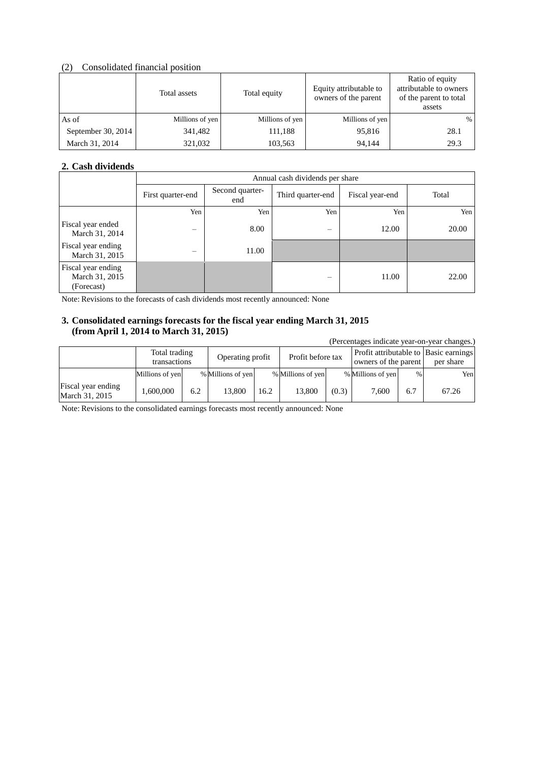# (2) Consolidated financial position

|                    | Total assets    | Total equity    | Equity attributable to<br>owners of the parent | Ratio of equity<br>attributable to owners<br>of the parent to total<br>assets |
|--------------------|-----------------|-----------------|------------------------------------------------|-------------------------------------------------------------------------------|
| As of              | Millions of yen | Millions of yen | Millions of yen                                | $\%$                                                                          |
| September 30, 2014 | 341.482         | 111.188         | 95,816                                         | 28.1                                                                          |
| March 31, 2014     | 321,032         | 103,563         | 94,144                                         | 29.3                                                                          |

# **2. Cash dividends**

|                                                    |                                             | Annual cash dividends per share |                   |                 |       |  |  |  |
|----------------------------------------------------|---------------------------------------------|---------------------------------|-------------------|-----------------|-------|--|--|--|
|                                                    | Second quarter-<br>First quarter-end<br>end |                                 | Third quarter-end | Fiscal year-end | Total |  |  |  |
|                                                    | Yen                                         | Yen                             | Yen               | Yen             | Yen   |  |  |  |
| Fiscal year ended<br>March 31, 2014                |                                             | 8.00                            |                   | 12.00           | 20.00 |  |  |  |
| Fiscal year ending<br>March 31, 2015               | $\overline{\phantom{0}}$                    | 11.00                           |                   |                 |       |  |  |  |
| Fiscal year ending<br>March 31, 2015<br>(Forecast) |                                             |                                 |                   | 11.00           | 22.00 |  |  |  |

Note: Revisions to the forecasts of cash dividends most recently announced: None

# **3. Consolidated earnings forecasts for the fiscal year ending March 31, 2015 (from April 1, 2014 to March 31, 2015)**

| (Percentages indicate year-on-year changes.) |                               |     |                   |      |                   |       |                                                               |      |           |
|----------------------------------------------|-------------------------------|-----|-------------------|------|-------------------|-------|---------------------------------------------------------------|------|-----------|
|                                              | Total trading<br>transactions |     | Operating profit  |      | Profit before tax |       | Profit attributable to Basic earnings<br>owners of the parent |      | per share |
|                                              | Millions of yen               |     | % Millions of yen |      | % Millions of yen |       | % Millions of yen                                             | $\%$ | Yenl      |
| Fiscal year ending<br>March 31, 2015         | 1.600.000                     | 6.2 | 13,800            | 16.2 | 13.800            | (0.3) | 7,600                                                         | 6.7  | 67.26     |

Note: Revisions to the consolidated earnings forecasts most recently announced: None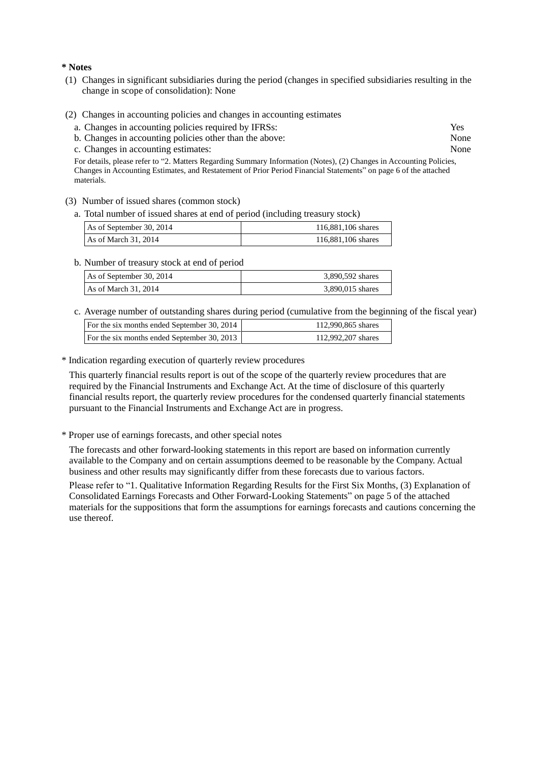#### **\* Notes**

- (1) Changes in significant subsidiaries during the period (changes in specified subsidiaries resulting in the change in scope of consolidation): None
- (2) Changes in accounting policies and changes in accounting estimates
	- a. Changes in accounting policies required by IFRSs: Yes
	- b. Changes in accounting policies other than the above: None
	- c. Changes in accounting estimates: None

For details, please refer to "2. Matters Regarding Summary Information (Notes), (2) Changes in Accounting Policies, Changes in Accounting Estimates, and Restatement of Prior Period Financial Statements" on page 6 of the attached materials.

- (3) Number of issued shares (common stock)
	- a. Total number of issued shares at end of period (including treasury stock)

| As of September 30, 2014 | 116,881,106 shares |
|--------------------------|--------------------|
| As of March 31, 2014     | 116,881,106 shares |

b. Number of treasury stock at end of period

| As of September 30, 2014 | 3,890,592 shares |
|--------------------------|------------------|
| As of March $31, 2014$   | 3,890,015 shares |

c. Average number of outstanding shares during period (cumulative from the beginning of the fiscal year)

| For the six months ended September 30, 2014 | 112,990,865 shares |
|---------------------------------------------|--------------------|
| For the six months ended September 30, 2013 | 112,992,207 shares |

\* Indication regarding execution of quarterly review procedures

This quarterly financial results report is out of the scope of the quarterly review procedures that are required by the Financial Instruments and Exchange Act. At the time of disclosure of this quarterly financial results report, the quarterly review procedures for the condensed quarterly financial statements pursuant to the Financial Instruments and Exchange Act are in progress.

\* Proper use of earnings forecasts, and other special notes

The forecasts and other forward-looking statements in this report are based on information currently available to the Company and on certain assumptions deemed to be reasonable by the Company. Actual business and other results may significantly differ from these forecasts due to various factors.

Please refer to "1. Qualitative Information Regarding Results for the First Six Months, (3) Explanation of Consolidated Earnings Forecasts and Other Forward-Looking Statements" on page 5 of the attached materials for the suppositions that form the assumptions for earnings forecasts and cautions concerning the use thereof.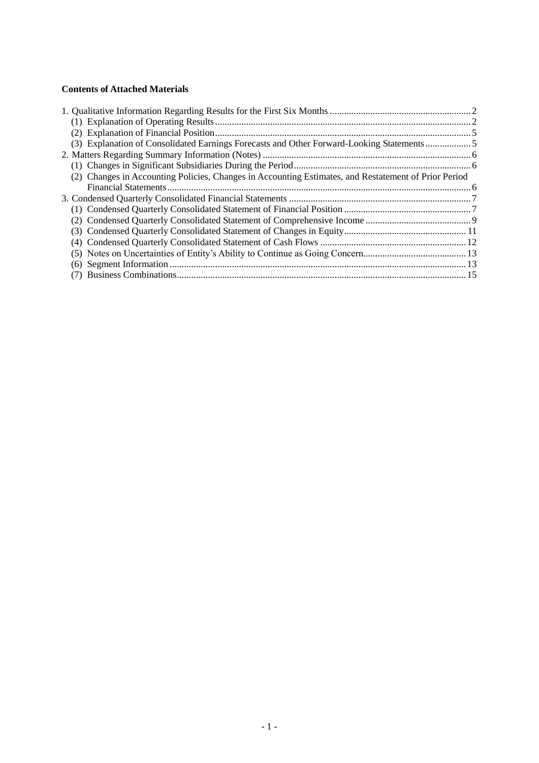# **Contents of Attached Materials**

|  | (3) Explanation of Consolidated Earnings Forecasts and Other Forward-Looking Statements              |  |
|--|------------------------------------------------------------------------------------------------------|--|
|  |                                                                                                      |  |
|  |                                                                                                      |  |
|  | (2) Changes in Accounting Policies, Changes in Accounting Estimates, and Restatement of Prior Period |  |
|  |                                                                                                      |  |
|  |                                                                                                      |  |
|  |                                                                                                      |  |
|  |                                                                                                      |  |
|  |                                                                                                      |  |
|  |                                                                                                      |  |
|  |                                                                                                      |  |
|  |                                                                                                      |  |
|  |                                                                                                      |  |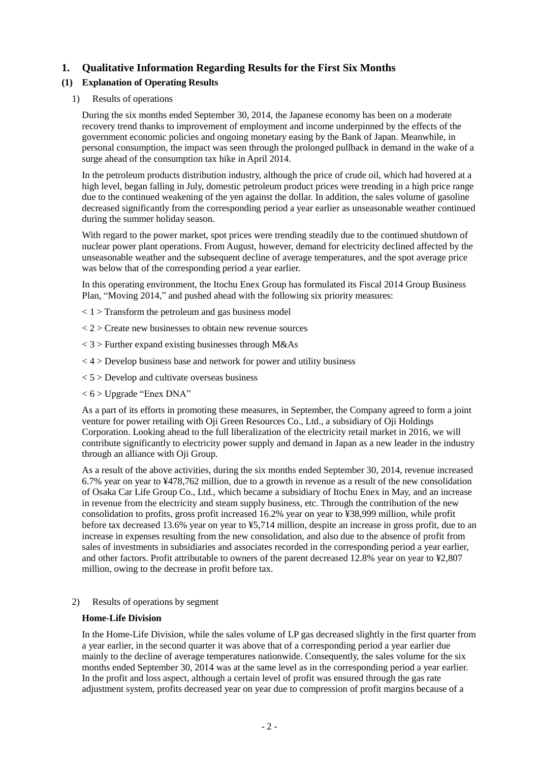# <span id="page-4-0"></span>**1. Qualitative Information Regarding Results for the First Six Months**

# <span id="page-4-1"></span>**(1) Explanation of Operating Results**

#### 1) Results of operations

During the six months ended September 30, 2014, the Japanese economy has been on a moderate recovery trend thanks to improvement of employment and income underpinned by the effects of the government economic policies and ongoing monetary easing by the Bank of Japan. Meanwhile, in personal consumption, the impact was seen through the prolonged pullback in demand in the wake of a surge ahead of the consumption tax hike in April 2014.

In the petroleum products distribution industry, although the price of crude oil, which had hovered at a high level, began falling in July, domestic petroleum product prices were trending in a high price range due to the continued weakening of the yen against the dollar. In addition, the sales volume of gasoline decreased significantly from the corresponding period a year earlier as unseasonable weather continued during the summer holiday season.

With regard to the power market, spot prices were trending steadily due to the continued shutdown of nuclear power plant operations. From August, however, demand for electricity declined affected by the unseasonable weather and the subsequent decline of average temperatures, and the spot average price was below that of the corresponding period a year earlier.

In this operating environment, the Itochu Enex Group has formulated its Fiscal 2014 Group Business Plan, "Moving 2014," and pushed ahead with the following six priority measures:

- $<$  1 > Transform the petroleum and gas business model
- $<$  2  $>$  Create new businesses to obtain new revenue sources
- $<$  3 > Further expand existing businesses through M&As
- $<$  4 > Develop business base and network for power and utility business
- $< 5$  > Develop and cultivate overseas business
- $<$  6  $>$  Upgrade "Enex DNA"

As a part of its efforts in promoting these measures, in September, the Company agreed to form a joint venture for power retailing with Oji Green Resources Co., Ltd., a subsidiary of Oji Holdings Corporation. Looking ahead to the full liberalization of the electricity retail market in 2016, we will contribute significantly to electricity power supply and demand in Japan as a new leader in the industry through an alliance with Oji Group.

As a result of the above activities, during the six months ended September 30, 2014, revenue increased 6.7% year on year to ¥478,762 million, due to a growth in revenue as a result of the new consolidation of Osaka Car Life Group Co., Ltd., which became a subsidiary of Itochu Enex in May, and an increase in revenue from the electricity and steam supply business, etc. Through the contribution of the new consolidation to profits, gross profit increased 16.2% year on year to ¥38,999 million, while profit before tax decreased 13.6% year on year to ¥5,714 million, despite an increase in gross profit, due to an increase in expenses resulting from the new consolidation, and also due to the absence of profit from sales of investments in subsidiaries and associates recorded in the corresponding period a year earlier, and other factors. Profit attributable to owners of the parent decreased 12.8% year on year to ¥2,807 million, owing to the decrease in profit before tax.

#### 2) Results of operations by segment

#### **Home-Life Division**

In the Home-Life Division, while the sales volume of LP gas decreased slightly in the first quarter from a year earlier, in the second quarter it was above that of a corresponding period a year earlier due mainly to the decline of average temperatures nationwide. Consequently, the sales volume for the six months ended September 30, 2014 was at the same level as in the corresponding period a year earlier. In the profit and loss aspect, although a certain level of profit was ensured through the gas rate adjustment system, profits decreased year on year due to compression of profit margins because of a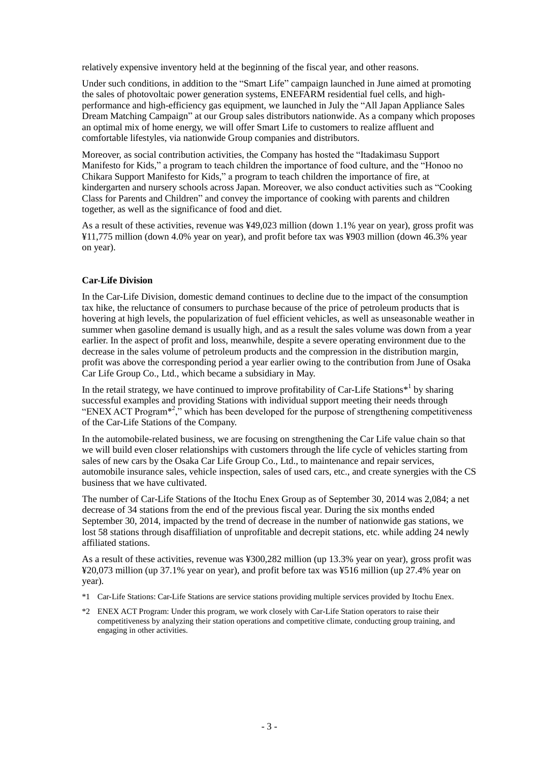relatively expensive inventory held at the beginning of the fiscal year, and other reasons.

Under such conditions, in addition to the "Smart Life" campaign launched in June aimed at promoting the sales of photovoltaic power generation systems, ENEFARM residential fuel cells, and highperformance and high-efficiency gas equipment, we launched in July the "All Japan Appliance Sales Dream Matching Campaign" at our Group sales distributors nationwide. As a company which proposes an optimal mix of home energy, we will offer Smart Life to customers to realize affluent and comfortable lifestyles, via nationwide Group companies and distributors.

Moreover, as social contribution activities, the Company has hosted the "Itadakimasu Support Manifesto for Kids," a program to teach children the importance of food culture, and the "Honoo no Chikara Support Manifesto for Kids," a program to teach children the importance of fire, at kindergarten and nursery schools across Japan. Moreover, we also conduct activities such as "Cooking Class for Parents and Children" and convey the importance of cooking with parents and children together, as well as the significance of food and diet.

As a result of these activities, revenue was ¥49,023 million (down 1.1% year on year), gross profit was ¥11,775 million (down 4.0% year on year), and profit before tax was ¥903 million (down 46.3% year on year).

### **Car-Life Division**

In the Car-Life Division, domestic demand continues to decline due to the impact of the consumption tax hike, the reluctance of consumers to purchase because of the price of petroleum products that is hovering at high levels, the popularization of fuel efficient vehicles, as well as unseasonable weather in summer when gasoline demand is usually high, and as a result the sales volume was down from a year earlier. In the aspect of profit and loss, meanwhile, despite a severe operating environment due to the decrease in the sales volume of petroleum products and the compression in the distribution margin, profit was above the corresponding period a year earlier owing to the contribution from June of Osaka Car Life Group Co., Ltd., which became a subsidiary in May.

In the retail strategy, we have continued to improve profitability of Car-Life Stations $*$ <sup>1</sup> by sharing successful examples and providing Stations with individual support meeting their needs through "ENEX ACT Program<sup>\*2</sup>," which has been developed for the purpose of strengthening competitiveness of the Car-Life Stations of the Company.

In the automobile-related business, we are focusing on strengthening the Car Life value chain so that we will build even closer relationships with customers through the life cycle of vehicles starting from sales of new cars by the Osaka Car Life Group Co., Ltd., to maintenance and repair services, automobile insurance sales, vehicle inspection, sales of used cars, etc., and create synergies with the CS business that we have cultivated.

The number of Car-Life Stations of the Itochu Enex Group as of September 30, 2014 was 2,084; a net decrease of 34 stations from the end of the previous fiscal year. During the six months ended September 30, 2014, impacted by the trend of decrease in the number of nationwide gas stations, we lost 58 stations through disaffiliation of unprofitable and decrepit stations, etc. while adding 24 newly affiliated stations.

As a result of these activities, revenue was ¥300,282 million (up 13.3% year on year), gross profit was ¥20,073 million (up 37.1% year on year), and profit before tax was ¥516 million (up 27.4% year on year).

- \*1 Car-Life Stations: Car-Life Stations are service stations providing multiple services provided by Itochu Enex.
- \*2 ENEX ACT Program: Under this program, we work closely with Car-Life Station operators to raise their competitiveness by analyzing their station operations and competitive climate, conducting group training, and engaging in other activities.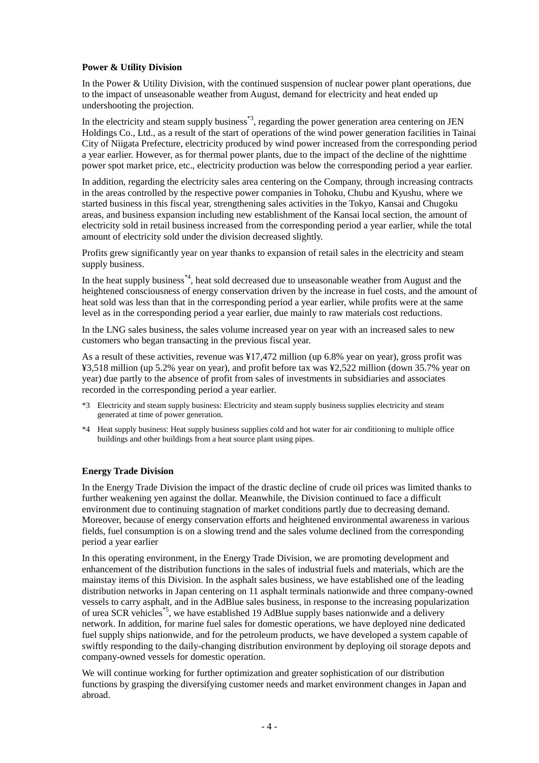### **Power & Utility Division**

In the Power & Utility Division, with the continued suspension of nuclear power plant operations, due to the impact of unseasonable weather from August, demand for electricity and heat ended up undershooting the projection.

In the electricity and steam supply business<sup>\*3</sup>, regarding the power generation area centering on JEN Holdings Co., Ltd., as a result of the start of operations of the wind power generation facilities in Tainai City of Niigata Prefecture, electricity produced by wind power increased from the corresponding period a year earlier. However, as for thermal power plants, due to the impact of the decline of the nighttime power spot market price, etc., electricity production was below the corresponding period a year earlier.

In addition, regarding the electricity sales area centering on the Company, through increasing contracts in the areas controlled by the respective power companies in Tohoku, Chubu and Kyushu, where we started business in this fiscal year, strengthening sales activities in the Tokyo, Kansai and Chugoku areas, and business expansion including new establishment of the Kansai local section, the amount of electricity sold in retail business increased from the corresponding period a year earlier, while the total amount of electricity sold under the division decreased slightly.

Profits grew significantly year on year thanks to expansion of retail sales in the electricity and steam supply business.

In the heat supply business<sup>\*4</sup>, heat sold decreased due to unseasonable weather from August and the heightened consciousness of energy conservation driven by the increase in fuel costs, and the amount of heat sold was less than that in the corresponding period a year earlier, while profits were at the same level as in the corresponding period a year earlier, due mainly to raw materials cost reductions.

In the LNG sales business, the sales volume increased year on year with an increased sales to new customers who began transacting in the previous fiscal year.

As a result of these activities, revenue was ¥17,472 million (up 6.8% year on year), gross profit was ¥3,518 million (up 5.2% year on year), and profit before tax was ¥2,522 million (down 35.7% year on year) due partly to the absence of profit from sales of investments in subsidiaries and associates recorded in the corresponding period a year earlier.

- \*3 Electricity and steam supply business: Electricity and steam supply business supplies electricity and steam generated at time of power generation.
- \*4 Heat supply business: Heat supply business supplies cold and hot water for air conditioning to multiple office buildings and other buildings from a heat source plant using pipes.

### **Energy Trade Division**

In the Energy Trade Division the impact of the drastic decline of crude oil prices was limited thanks to further weakening yen against the dollar. Meanwhile, the Division continued to face a difficult environment due to continuing stagnation of market conditions partly due to decreasing demand. Moreover, because of energy conservation efforts and heightened environmental awareness in various fields, fuel consumption is on a slowing trend and the sales volume declined from the corresponding period a year earlier

In this operating environment, in the Energy Trade Division, we are promoting development and enhancement of the distribution functions in the sales of industrial fuels and materials, which are the mainstay items of this Division. In the asphalt sales business, we have established one of the leading distribution networks in Japan centering on 11 asphalt terminals nationwide and three company-owned vessels to carry asphalt, and in the AdBlue sales business, in response to the increasing popularization of urea SCR vehicles<sup>\*5</sup>, we have established 19 AdBlue supply bases nationwide and a delivery network. In addition, for marine fuel sales for domestic operations, we have deployed nine dedicated fuel supply ships nationwide, and for the petroleum products, we have developed a system capable of swiftly responding to the daily-changing distribution environment by deploying oil storage depots and company-owned vessels for domestic operation.

We will continue working for further optimization and greater sophistication of our distribution functions by grasping the diversifying customer needs and market environment changes in Japan and abroad.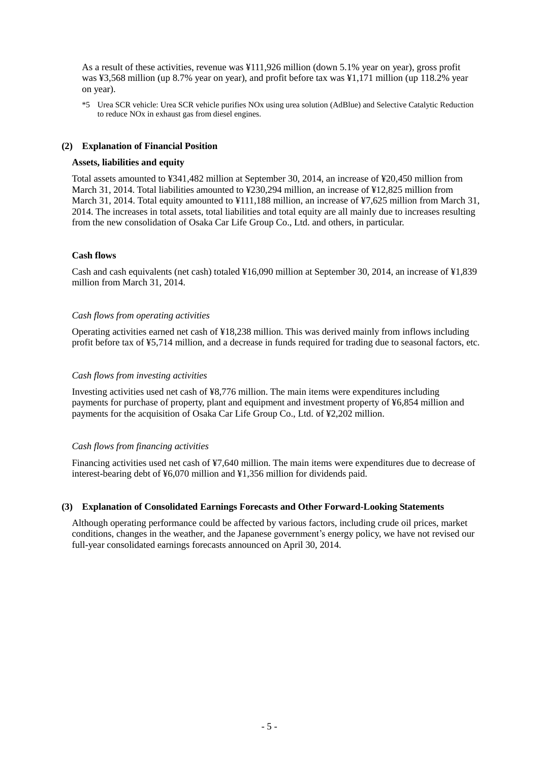As a result of these activities, revenue was ¥111,926 million (down 5.1% year on year), gross profit was ¥3,568 million (up 8.7% year on year), and profit before tax was ¥1,171 million (up 118.2% year on year).

\*5 Urea SCR vehicle: Urea SCR vehicle purifies NOx using urea solution (AdBlue) and Selective Catalytic Reduction to reduce NOx in exhaust gas from diesel engines.

### <span id="page-7-0"></span>**(2) Explanation of Financial Position**

#### **Assets, liabilities and equity**

Total assets amounted to ¥341,482 million at September 30, 2014, an increase of ¥20,450 million from March 31, 2014. Total liabilities amounted to ¥230,294 million, an increase of ¥12,825 million from March 31, 2014. Total equity amounted to ¥111,188 million, an increase of ¥7,625 million from March 31, 2014. The increases in total assets, total liabilities and total equity are all mainly due to increases resulting from the new consolidation of Osaka Car Life Group Co., Ltd. and others, in particular.

#### **Cash flows**

Cash and cash equivalents (net cash) totaled ¥16,090 million at September 30, 2014, an increase of ¥1,839 million from March 31, 2014.

#### *Cash flows from operating activities*

Operating activities earned net cash of ¥18,238 million. This was derived mainly from inflows including profit before tax of ¥5,714 million, and a decrease in funds required for trading due to seasonal factors, etc.

#### *Cash flows from investing activities*

Investing activities used net cash of ¥8,776 million. The main items were expenditures including payments for purchase of property, plant and equipment and investment property of ¥6,854 million and payments for the acquisition of Osaka Car Life Group Co., Ltd. of ¥2,202 million.

### *Cash flows from financing activities*

Financing activities used net cash of ¥7,640 million. The main items were expenditures due to decrease of interest-bearing debt of ¥6,070 million and ¥1,356 million for dividends paid.

#### <span id="page-7-1"></span>**(3) Explanation of Consolidated Earnings Forecasts and Other Forward-Looking Statements**

<span id="page-7-2"></span>Although operating performance could be affected by various factors, including crude oil prices, market conditions, changes in the weather, and the Japanese government's energy policy, we have not revised our full-year consolidated earnings forecasts announced on April 30, 2014.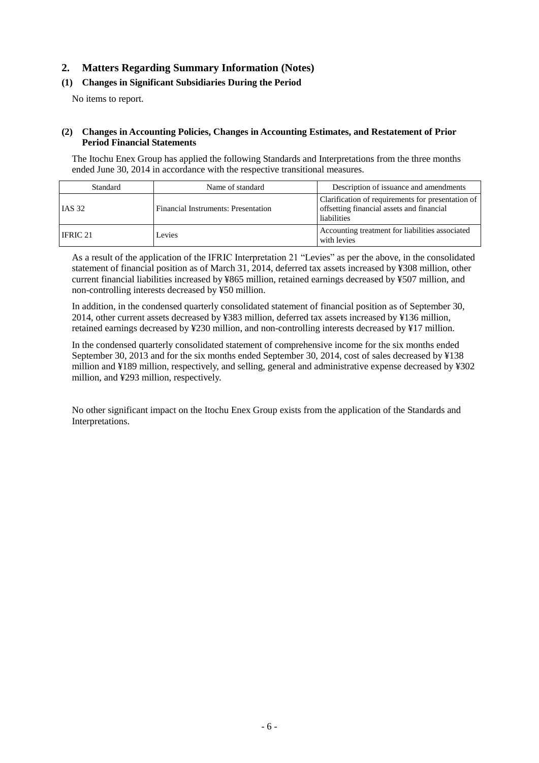# **2. Matters Regarding Summary Information (Notes)**

# <span id="page-8-0"></span>**(1) Changes in Significant Subsidiaries During the Period**

No items to report.

### <span id="page-8-1"></span>**(2) Changes in Accounting Policies, Changes in Accounting Estimates, and Restatement of Prior Period Financial Statements**

The Itochu Enex Group has applied the following Standards and Interpretations from the three months ended June 30, 2014 in accordance with the respective transitional measures.

| Standard      | Name of standard                    | Description of issuance and amendments                                                                        |
|---------------|-------------------------------------|---------------------------------------------------------------------------------------------------------------|
| <b>IAS 32</b> | Financial Instruments: Presentation | Clarification of requirements for presentation of<br>offsetting financial assets and financial<br>liabilities |
| IFRIC 21      | Levies                              | Accounting treatment for liabilities associated<br>with levies                                                |

As a result of the application of the IFRIC Interpretation 21 "Levies" as per the above, in the consolidated statement of financial position as of March 31, 2014, deferred tax assets increased by ¥308 million, other current financial liabilities increased by ¥865 million, retained earnings decreased by ¥507 million, and non-controlling interests decreased by ¥50 million.

In addition, in the condensed quarterly consolidated statement of financial position as of September 30, 2014, other current assets decreased by ¥383 million, deferred tax assets increased by ¥136 million, retained earnings decreased by ¥230 million, and non-controlling interests decreased by ¥17 million.

In the condensed quarterly consolidated statement of comprehensive income for the six months ended September 30, 2013 and for the six months ended September 30, 2014, cost of sales decreased by ¥138 million and ¥189 million, respectively, and selling, general and administrative expense decreased by ¥302 million, and ¥293 million, respectively.

No other significant impact on the Itochu Enex Group exists from the application of the Standards and Interpretations.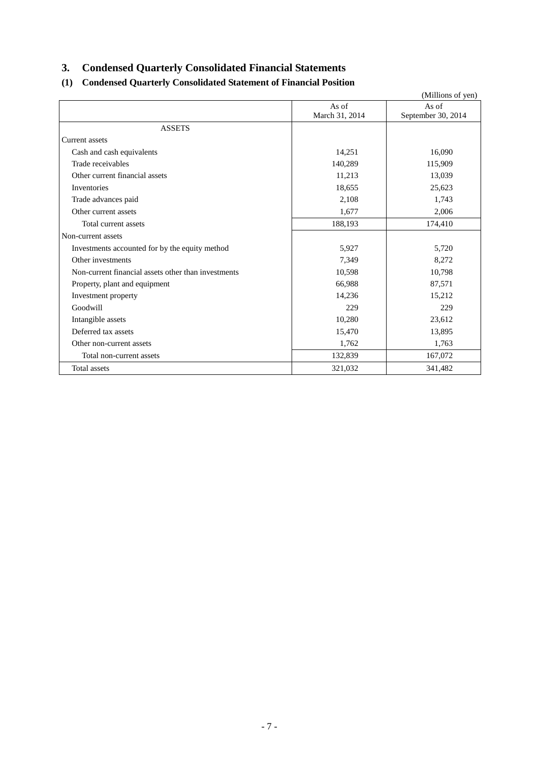# <span id="page-9-0"></span>**3. Condensed Quarterly Consolidated Financial Statements**

# <span id="page-9-1"></span>**(1) Condensed Quarterly Consolidated Statement of Financial Position**

|                                                     |                | (Millions of yen)  |
|-----------------------------------------------------|----------------|--------------------|
|                                                     | As of          | As of              |
|                                                     | March 31, 2014 | September 30, 2014 |
| <b>ASSETS</b>                                       |                |                    |
| <b>Current</b> assets                               |                |                    |
| Cash and cash equivalents                           | 14,251         | 16,090             |
| Trade receivables                                   | 140,289        | 115,909            |
| Other current financial assets                      | 11,213         | 13,039             |
| Inventories                                         | 18,655         | 25,623             |
| Trade advances paid                                 | 2,108          | 1,743              |
| Other current assets                                | 1,677          | 2,006              |
| Total current assets                                | 188,193        | 174,410            |
| Non-current assets                                  |                |                    |
| Investments accounted for by the equity method      | 5,927          | 5,720              |
| Other investments                                   | 7,349          | 8,272              |
| Non-current financial assets other than investments | 10,598         | 10,798             |
| Property, plant and equipment                       | 66,988         | 87,571             |
| Investment property                                 | 14,236         | 15,212             |
| Goodwill                                            | 229            | 229                |
| Intangible assets                                   | 10,280         | 23,612             |
| Deferred tax assets                                 | 15,470         | 13,895             |
| Other non-current assets                            | 1,762          | 1,763              |
| Total non-current assets                            | 132,839        | 167,072            |
| Total assets                                        | 321,032        | 341,482            |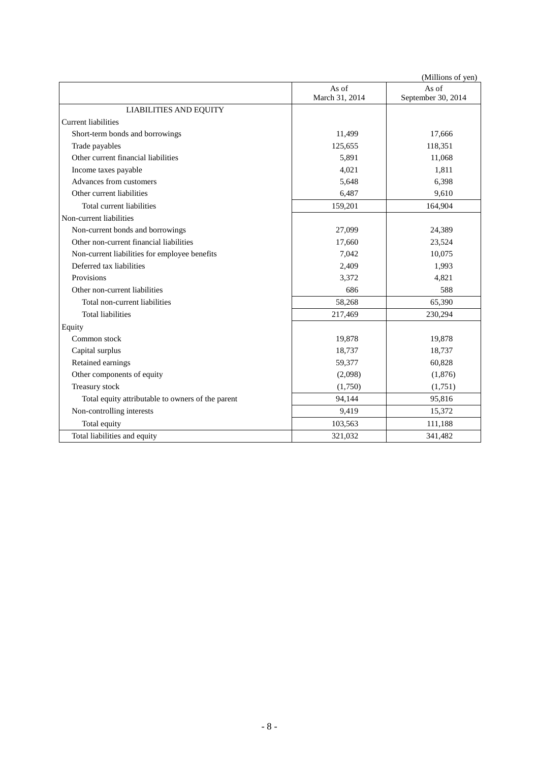|                                                   |                | (Millions of yen)  |
|---------------------------------------------------|----------------|--------------------|
|                                                   | As of          | As of              |
|                                                   | March 31, 2014 | September 30, 2014 |
| <b>LIABILITIES AND EQUITY</b>                     |                |                    |
| Current liabilities                               |                |                    |
| Short-term bonds and borrowings                   | 11,499         | 17,666             |
| Trade payables                                    | 125,655        | 118,351            |
| Other current financial liabilities               | 5,891          | 11,068             |
| Income taxes payable                              | 4,021          | 1,811              |
| Advances from customers                           | 5,648          | 6,398              |
| Other current liabilities                         | 6,487          | 9,610              |
| Total current liabilities                         | 159,201        | 164,904            |
| Non-current liabilities                           |                |                    |
| Non-current bonds and borrowings                  | 27,099         | 24,389             |
| Other non-current financial liabilities           | 17,660         | 23,524             |
| Non-current liabilities for employee benefits     | 7,042          | 10,075             |
| Deferred tax liabilities                          | 2,409          | 1,993              |
| Provisions                                        | 3,372          | 4,821              |
| Other non-current liabilities                     | 686            | 588                |
| Total non-current liabilities                     | 58,268         | 65,390             |
| <b>Total liabilities</b>                          | 217,469        | 230,294            |
| Equity                                            |                |                    |
| Common stock                                      | 19,878         | 19,878             |
| Capital surplus                                   | 18,737         | 18,737             |
| Retained earnings                                 | 59,377         | 60,828             |
| Other components of equity                        | (2,098)        | (1,876)            |
| Treasury stock                                    | (1,750)        | (1,751)            |
| Total equity attributable to owners of the parent | 94,144         | 95,816             |
| Non-controlling interests                         | 9,419          | 15,372             |
| Total equity                                      | 103,563        | 111,188            |
| Total liabilities and equity                      | 321,032        | 341,482            |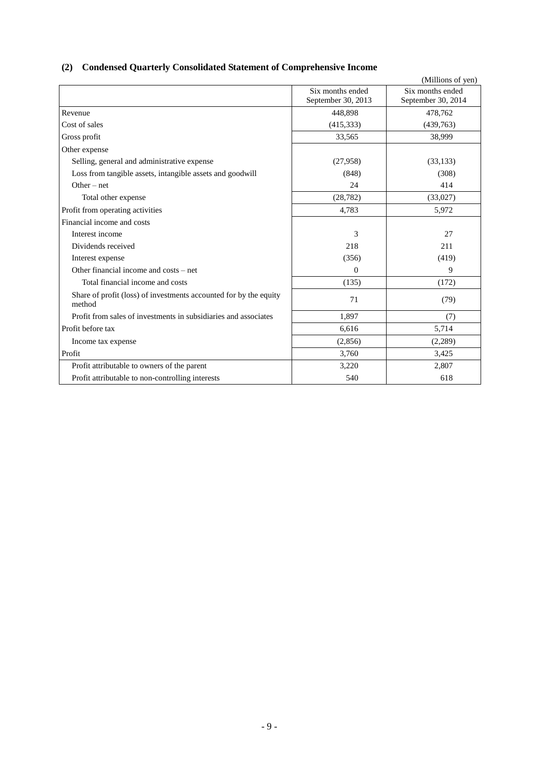# <span id="page-11-0"></span>**(2) Condensed Quarterly Consolidated Statement of Comprehensive Income**

|                                                                             |                                        | (Millions of yen)                      |
|-----------------------------------------------------------------------------|----------------------------------------|----------------------------------------|
|                                                                             | Six months ended<br>September 30, 2013 | Six months ended<br>September 30, 2014 |
| Revenue                                                                     | 448,898                                | 478,762                                |
| Cost of sales                                                               | (415, 333)                             | (439,763)                              |
| Gross profit                                                                | 33,565                                 | 38,999                                 |
| Other expense                                                               |                                        |                                        |
| Selling, general and administrative expense                                 | (27,958)                               | (33, 133)                              |
| Loss from tangible assets, intangible assets and goodwill                   | (848)                                  | (308)                                  |
| Other $-$ net                                                               | 24                                     | 414                                    |
| Total other expense                                                         | (28, 782)                              | (33,027)                               |
| Profit from operating activities                                            | 4,783                                  | 5,972                                  |
| Financial income and costs                                                  |                                        |                                        |
| Interest income                                                             | 3                                      | 27                                     |
| Dividends received                                                          | 218                                    | 211                                    |
| Interest expense                                                            | (356)                                  | (419)                                  |
| Other financial income and costs – net                                      | $\Omega$                               | 9                                      |
| Total financial income and costs                                            | (135)                                  | (172)                                  |
| Share of profit (loss) of investments accounted for by the equity<br>method | 71                                     | (79)                                   |
| Profit from sales of investments in subsidiaries and associates             | 1,897                                  | (7)                                    |
| Profit before tax                                                           | 6,616                                  | 5,714                                  |
| Income tax expense                                                          | (2,856)                                | (2,289)                                |
| Profit                                                                      | 3,760                                  | 3,425                                  |
| Profit attributable to owners of the parent                                 | 3,220                                  | 2,807                                  |
| Profit attributable to non-controlling interests                            | 540                                    | 618                                    |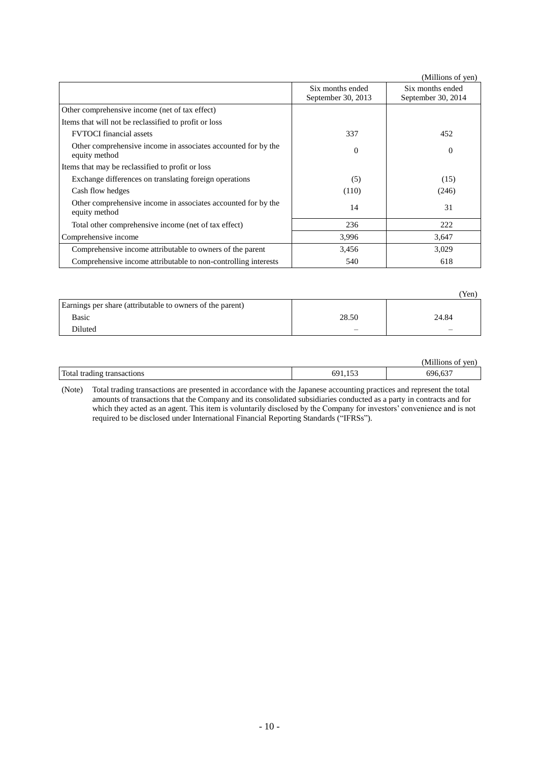|                                                                                |                                        | (Millions of yen)                      |
|--------------------------------------------------------------------------------|----------------------------------------|----------------------------------------|
|                                                                                | Six months ended<br>September 30, 2013 | Six months ended<br>September 30, 2014 |
| Other comprehensive income (net of tax effect)                                 |                                        |                                        |
| Items that will not be reclassified to profit or loss                          |                                        |                                        |
| <b>FVTOCI</b> financial assets                                                 | 337                                    | 452                                    |
| Other comprehensive income in associates accounted for by the<br>equity method | $\Omega$                               | $\mathbf{0}$                           |
| Items that may be reclassified to profit or loss                               |                                        |                                        |
| Exchange differences on translating foreign operations                         | (5)                                    | (15)                                   |
| Cash flow hedges                                                               | (110)                                  | (246)                                  |
| Other comprehensive income in associates accounted for by the<br>equity method | 14                                     | 31                                     |
| Total other comprehensive income (net of tax effect)                           | 236                                    | 222                                    |
| Comprehensive income                                                           | 3,996                                  | 3,647                                  |
| Comprehensive income attributable to owners of the parent                      | 3,456                                  | 3,029                                  |
| Comprehensive income attributable to non-controlling interests                 | 540                                    | 618                                    |

|                                                           |       | 'Yen) |
|-----------------------------------------------------------|-------|-------|
| Earnings per share (attributable to owners of the parent) |       |       |
| Basic                                                     | 28.50 | 24.84 |
| Diluted                                                   |       |       |

|                            |     | (Millions of ven) |
|----------------------------|-----|-------------------|
| Total trading transactions | 691 | 696,637           |

(Note) Total trading transactions are presented in accordance with the Japanese accounting practices and represent the total amounts of transactions that the Company and its consolidated subsidiaries conducted as a party in contracts and for which they acted as an agent. This item is voluntarily disclosed by the Company for investors' convenience and is not required to be disclosed under International Financial Reporting Standards ("IFRSs").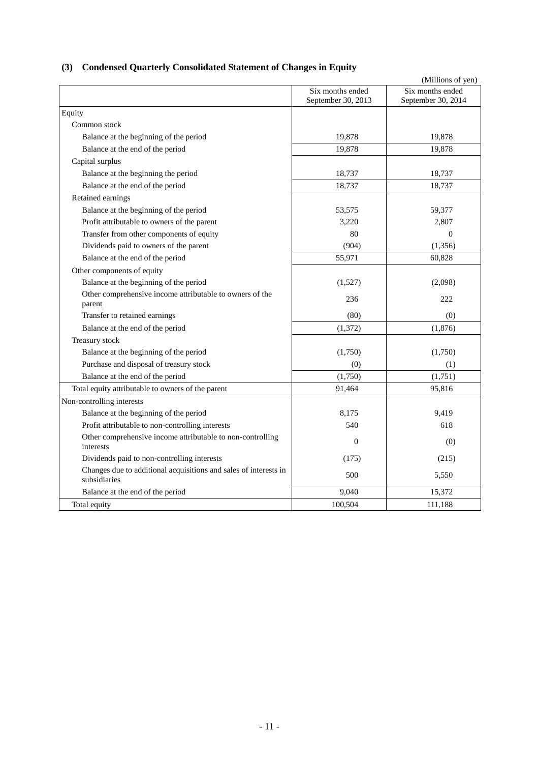<span id="page-13-0"></span>

|  |  | (3) Condensed Quarterly Consolidated Statement of Changes in Equity |  |
|--|--|---------------------------------------------------------------------|--|
|--|--|---------------------------------------------------------------------|--|

|                                                                                  |                                        | (Millions of yen)                      |
|----------------------------------------------------------------------------------|----------------------------------------|----------------------------------------|
|                                                                                  | Six months ended<br>September 30, 2013 | Six months ended<br>September 30, 2014 |
| Equity                                                                           |                                        |                                        |
| Common stock                                                                     |                                        |                                        |
| Balance at the beginning of the period                                           | 19,878                                 | 19,878                                 |
| Balance at the end of the period                                                 | 19,878                                 | 19,878                                 |
| Capital surplus                                                                  |                                        |                                        |
| Balance at the beginning the period                                              | 18,737                                 | 18,737                                 |
| Balance at the end of the period                                                 | 18.737                                 | 18,737                                 |
| Retained earnings                                                                |                                        |                                        |
| Balance at the beginning of the period                                           | 53,575                                 | 59,377                                 |
| Profit attributable to owners of the parent                                      | 3,220                                  | 2,807                                  |
| Transfer from other components of equity                                         | 80                                     | $\Omega$                               |
| Dividends paid to owners of the parent                                           | (904)                                  | (1, 356)                               |
| Balance at the end of the period                                                 | 55,971                                 | 60,828                                 |
| Other components of equity                                                       |                                        |                                        |
| Balance at the beginning of the period                                           | (1,527)                                | (2,098)                                |
| Other comprehensive income attributable to owners of the<br>parent               | 236                                    | 222                                    |
| Transfer to retained earnings                                                    | (80)                                   | (0)                                    |
| Balance at the end of the period                                                 | (1,372)                                | (1,876)                                |
| Treasury stock                                                                   |                                        |                                        |
| Balance at the beginning of the period                                           | (1,750)                                | (1,750)                                |
| Purchase and disposal of treasury stock                                          | (0)                                    | (1)                                    |
| Balance at the end of the period                                                 | (1,750)                                | (1,751)                                |
| Total equity attributable to owners of the parent                                | 91,464                                 | 95,816                                 |
| Non-controlling interests                                                        |                                        |                                        |
| Balance at the beginning of the period                                           | 8,175                                  | 9,419                                  |
| Profit attributable to non-controlling interests                                 | 540                                    | 618                                    |
| Other comprehensive income attributable to non-controlling<br>interests          | $\theta$                               | (0)                                    |
| Dividends paid to non-controlling interests                                      | (175)                                  | (215)                                  |
| Changes due to additional acquisitions and sales of interests in<br>subsidiaries | 500                                    | 5,550                                  |
| Balance at the end of the period                                                 | 9,040                                  | 15,372                                 |
| Total equity                                                                     | 100,504                                | 111,188                                |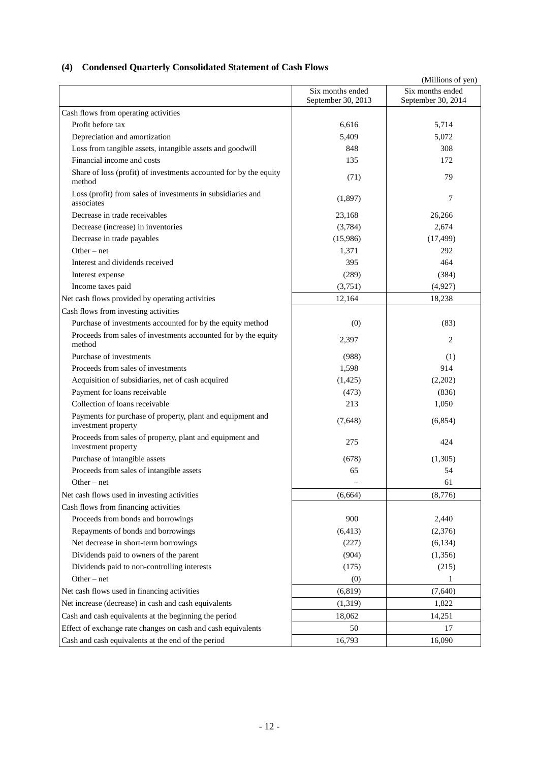# <span id="page-14-0"></span>**(4) Condensed Quarterly Consolidated Statement of Cash Flows**

|                                                                                   |                                        | (Millions of yen)                      |
|-----------------------------------------------------------------------------------|----------------------------------------|----------------------------------------|
|                                                                                   | Six months ended<br>September 30, 2013 | Six months ended<br>September 30, 2014 |
| Cash flows from operating activities                                              |                                        |                                        |
| Profit before tax                                                                 | 6,616                                  | 5,714                                  |
| Depreciation and amortization                                                     | 5,409                                  | 5,072                                  |
| Loss from tangible assets, intangible assets and goodwill                         | 848                                    | 308                                    |
| Financial income and costs                                                        | 135                                    | 172                                    |
| Share of loss (profit) of investments accounted for by the equity<br>method       | (71)                                   | 79                                     |
| Loss (profit) from sales of investments in subsidiaries and<br>associates         | (1,897)                                | 7                                      |
| Decrease in trade receivables                                                     | 23,168                                 | 26,266                                 |
| Decrease (increase) in inventories                                                | (3,784)                                | 2,674                                  |
| Decrease in trade payables                                                        | (15,986)                               | (17, 499)                              |
| Other $-$ net                                                                     | 1,371                                  | 292                                    |
| Interest and dividends received                                                   | 395                                    | 464                                    |
| Interest expense                                                                  | (289)                                  | (384)                                  |
| Income taxes paid                                                                 | (3,751)                                | (4,927)                                |
| Net cash flows provided by operating activities                                   | 12,164                                 | 18,238                                 |
| Cash flows from investing activities                                              |                                        |                                        |
| Purchase of investments accounted for by the equity method                        | (0)                                    | (83)                                   |
| Proceeds from sales of investments accounted for by the equity<br>method          | 2,397                                  | 2                                      |
| Purchase of investments                                                           | (988)                                  | (1)                                    |
| Proceeds from sales of investments                                                | 1,598                                  | 914                                    |
| Acquisition of subsidiaries, net of cash acquired                                 | (1,425)                                | (2,202)                                |
| Payment for loans receivable                                                      | (473)                                  | (836)                                  |
| Collection of loans receivable                                                    | 213                                    | 1,050                                  |
| Payments for purchase of property, plant and equipment and<br>investment property | (7,648)                                | (6,854)                                |
| Proceeds from sales of property, plant and equipment and<br>investment property   | 275                                    | 424                                    |
| Purchase of intangible assets                                                     | (678)                                  | (1,305)                                |
| Proceeds from sales of intangible assets                                          | 65                                     | 54                                     |
| Other – net                                                                       |                                        | 61                                     |
| Net cash flows used in investing activities                                       | (6,664)                                | (8,776)                                |
| Cash flows from financing activities                                              |                                        |                                        |
| Proceeds from bonds and borrowings                                                | 900                                    | 2,440                                  |
| Repayments of bonds and borrowings                                                | (6, 413)                               | (2,376)                                |
| Net decrease in short-term borrowings                                             | (227)                                  | (6, 134)                               |
| Dividends paid to owners of the parent                                            | (904)                                  | (1,356)                                |
| Dividends paid to non-controlling interests                                       | (175)                                  | (215)                                  |
| $Other-net$                                                                       | (0)                                    | 1                                      |
| Net cash flows used in financing activities                                       | (6, 819)                               | (7,640)                                |
| Net increase (decrease) in cash and cash equivalents                              | (1,319)                                | 1,822                                  |
| Cash and cash equivalents at the beginning the period                             | 18,062                                 | 14,251                                 |
| Effect of exchange rate changes on cash and cash equivalents                      | 50                                     | 17                                     |
| Cash and cash equivalents at the end of the period                                | 16,793                                 | 16,090                                 |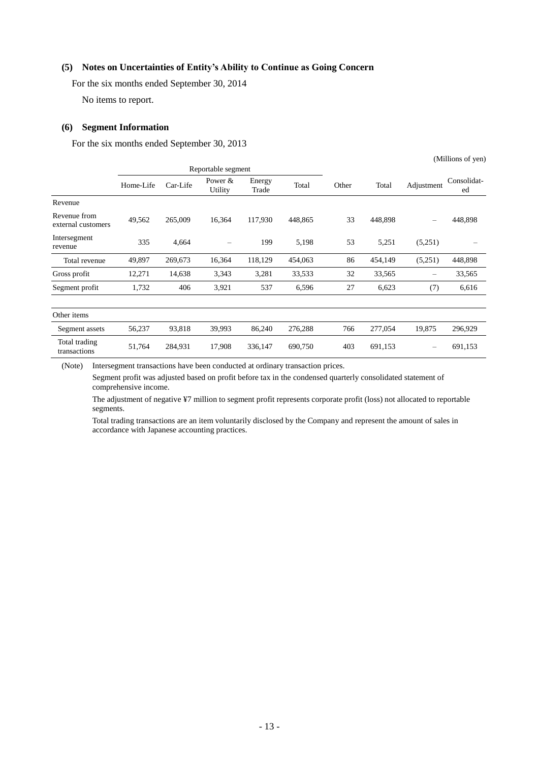### <span id="page-15-0"></span>**(5) Notes on Uncertainties of Entity's Ability to Continue as Going Concern**

For the six months ended September 30, 2014

No items to report.

#### <span id="page-15-1"></span>**(6) Segment Information**

For the six months ended September 30, 2013

|                                    |           |                    |                      |                 |         |       |         |                          | (Millions of yen) |
|------------------------------------|-----------|--------------------|----------------------|-----------------|---------|-------|---------|--------------------------|-------------------|
|                                    |           | Reportable segment |                      |                 |         |       |         |                          |                   |
|                                    | Home-Life | Car-Life           | Power $&$<br>Utility | Energy<br>Trade | Total   | Other | Total   | Adjustment               | Consolidat-<br>ed |
| Revenue                            |           |                    |                      |                 |         |       |         |                          |                   |
| Revenue from<br>external customers | 49,562    | 265,009            | 16,364               | 117,930         | 448,865 | 33    | 448,898 | $\overline{\phantom{0}}$ | 448,898           |
| Intersegment<br>revenue            | 335       | 4,664              |                      | 199             | 5,198   | 53    | 5,251   | (5,251)                  |                   |
| Total revenue                      | 49,897    | 269,673            | 16,364               | 118,129         | 454,063 | 86    | 454,149 | (5,251)                  | 448,898           |
| Gross profit                       | 12,271    | 14,638             | 3,343                | 3,281           | 33,533  | 32    | 33,565  | $\qquad \qquad$          | 33,565            |
| Segment profit                     | 1,732     | 406                | 3,921                | 537             | 6,596   | 27    | 6,623   | (7)                      | 6,616             |
| Other items                        |           |                    |                      |                 |         |       |         |                          |                   |
| Segment assets                     | 56,237    | 93,818             | 39,993               | 86,240          | 276,288 | 766   | 277,054 | 19,875                   | 296,929           |
| Total trading<br>transactions      | 51,764    | 284,931            | 17,908               | 336,147         | 690,750 | 403   | 691,153 |                          | 691,153           |

(Note) Intersegment transactions have been conducted at ordinary transaction prices.

Segment profit was adjusted based on profit before tax in the condensed quarterly consolidated statement of comprehensive income.

The adjustment of negative ¥7 million to segment profit represents corporate profit (loss) not allocated to reportable segments.

Total trading transactions are an item voluntarily disclosed by the Company and represent the amount of sales in accordance with Japanese accounting practices.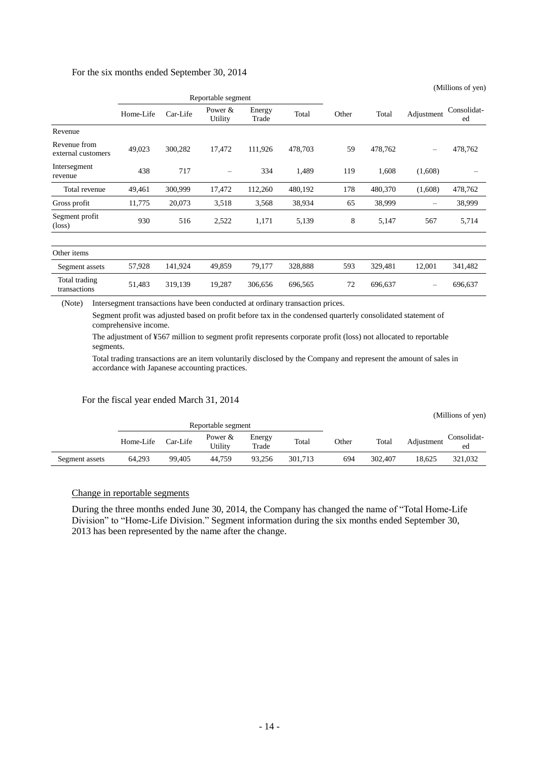#### For the six months ended September 30, 2014

|                                    | Home-Life | Car-Life | Power $&$<br>Utility | Energy<br>Trade | Total   | Other | Total   | Adjustment | Consolidat-<br>ed |
|------------------------------------|-----------|----------|----------------------|-----------------|---------|-------|---------|------------|-------------------|
| Revenue                            |           |          |                      |                 |         |       |         |            |                   |
| Revenue from<br>external customers | 49,023    | 300,282  | 17,472               | 111,926         | 478,703 | 59    | 478,762 |            | 478,762           |
| Intersegment<br>revenue            | 438       | 717      |                      | 334             | 1,489   | 119   | 1,608   | (1,608)    |                   |
| Total revenue                      | 49,461    | 300,999  | 17,472               | 112,260         | 480,192 | 178   | 480,370 | (1,608)    | 478,762           |
| Gross profit                       | 11,775    | 20,073   | 3,518                | 3,568           | 38,934  | 65    | 38,999  |            | 38,999            |
| Segment profit<br>$(\text{loss})$  | 930       | 516      | 2,522                | 1,171           | 5,139   | 8     | 5,147   | 567        | 5,714             |
|                                    |           |          |                      |                 |         |       |         |            |                   |
| Other items                        |           |          |                      |                 |         |       |         |            |                   |
| Segment assets                     | 57,928    | 141,924  | 49,859               | 79,177          | 328,888 | 593   | 329,481 | 12,001     | 341,482           |
| Total trading<br>transactions      | 51,483    | 319,139  | 19,287               | 306,656         | 696,565 | 72    | 696,637 |            | 696,637           |

(Millions of yen)

(Note) Intersegment transactions have been conducted at ordinary transaction prices.

Segment profit was adjusted based on profit before tax in the condensed quarterly consolidated statement of comprehensive income.

The adjustment of ¥567 million to segment profit represents corporate profit (loss) not allocated to reportable segments.

Total trading transactions are an item voluntarily disclosed by the Company and represent the amount of sales in accordance with Japanese accounting practices.

#### For the fiscal year ended March 31, 2014

|                |           |          |                      |                 |         |       |         |            | (Millions of yen) |
|----------------|-----------|----------|----------------------|-----------------|---------|-------|---------|------------|-------------------|
|                |           |          | Reportable segment   |                 |         |       |         |            |                   |
|                | Home-Life | Car-Life | Power $&$<br>Utility | Energy<br>Trade | Total   | Other | Total   | Adjustment | Consolidat-<br>ed |
| Segment assets | 64,293    | 99.405   | 44.759               | 93.256          | 301,713 | 694   | 302,407 | 18.625     | 321,032           |

#### Change in reportable segments

During the three months ended June 30, 2014, the Company has changed the name of "Total Home-Life Division" to "Home-Life Division." Segment information during the six months ended September 30, 2013 has been represented by the name after the change.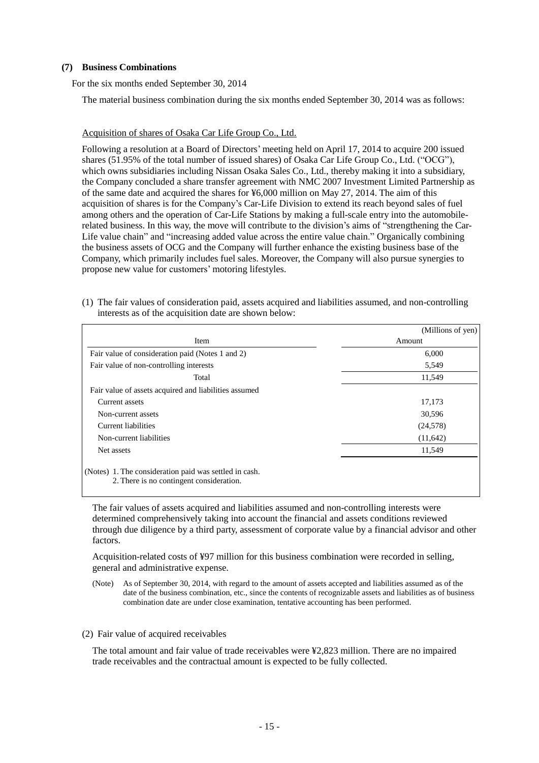#### <span id="page-17-0"></span>**(7) Business Combinations**

For the six months ended September 30, 2014

The material business combination during the six months ended September 30, 2014 was as follows:

#### Acquisition of shares of Osaka Car Life Group Co., Ltd.

Following a resolution at a Board of Directors' meeting held on April 17, 2014 to acquire 200 issued shares (51.95% of the total number of issued shares) of Osaka Car Life Group Co., Ltd. ("OCG"), which owns subsidiaries including Nissan Osaka Sales Co., Ltd., thereby making it into a subsidiary, the Company concluded a share transfer agreement with NMC 2007 Investment Limited Partnership as of the same date and acquired the shares for ¥6,000 million on May 27, 2014. The aim of this acquisition of shares is for the Company's Car-Life Division to extend its reach beyond sales of fuel among others and the operation of Car-Life Stations by making a full-scale entry into the automobilerelated business. In this way, the move will contribute to the division's aims of "strengthening the Car-Life value chain" and "increasing added value across the entire value chain." Organically combining the business assets of OCG and the Company will further enhance the existing business base of the Company, which primarily includes fuel sales. Moreover, the Company will also pursue synergies to propose new value for customers' motoring lifestyles.

(1) The fair values of consideration paid, assets acquired and liabilities assumed, and non-controlling interests as of the acquisition date are shown below:

|                                                                                                    | (Millions of yen) |
|----------------------------------------------------------------------------------------------------|-------------------|
| Item                                                                                               | Amount            |
| Fair value of consideration paid (Notes 1 and 2)                                                   | 6,000             |
| Fair value of non-controlling interests                                                            | 5,549             |
| Total                                                                                              | 11,549            |
| Fair value of assets acquired and liabilities assumed                                              |                   |
| Current assets                                                                                     | 17,173            |
| Non-current assets                                                                                 | 30,596            |
| Current liabilities                                                                                | (24, 578)         |
| Non-current liabilities                                                                            | (11,642)          |
| Net assets                                                                                         | 11,549            |
| (Notes) 1. The consideration paid was settled in cash.<br>2. There is no contingent consideration. |                   |

The fair values of assets acquired and liabilities assumed and non-controlling interests were determined comprehensively taking into account the financial and assets conditions reviewed through due diligence by a third party, assessment of corporate value by a financial advisor and other factors.

Acquisition-related costs of ¥97 million for this business combination were recorded in selling, general and administrative expense.

(Note) As of September 30, 2014, with regard to the amount of assets accepted and liabilities assumed as of the date of the business combination, etc., since the contents of recognizable assets and liabilities as of business combination date are under close examination, tentative accounting has been performed.

(2) Fair value of acquired receivables

The total amount and fair value of trade receivables were ¥2,823 million. There are no impaired trade receivables and the contractual amount is expected to be fully collected.